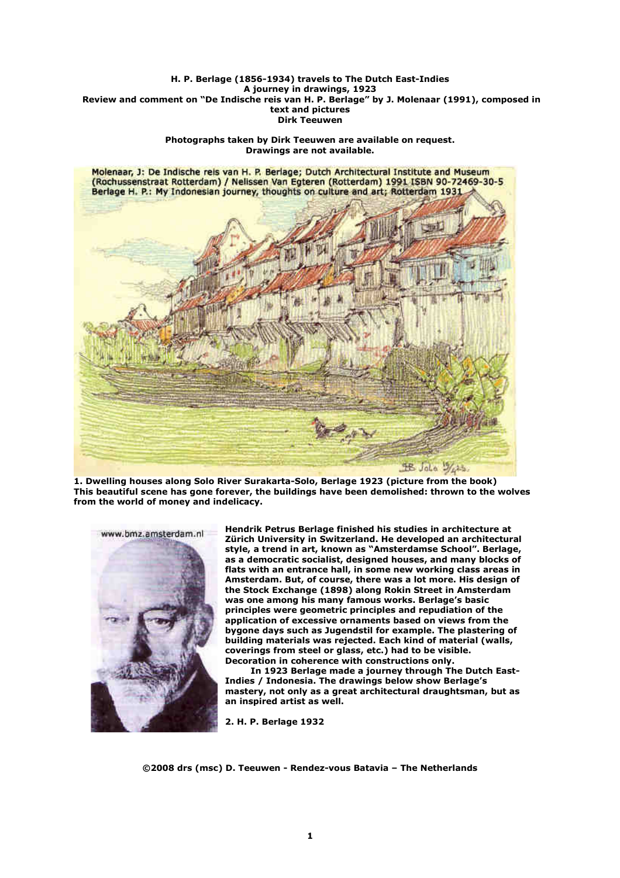## **H. P. Berlage (1856-1934) travels to The Dutch East-Indies A journey in drawings, 1923 Review and comment on "De Indische reis van H. P. Berlage" by J. Molenaar (1991), composed in text and pictures Dirk Teeuwen**

**Photographs taken by Dirk Teeuwen are available on request. Drawings are not available.** 



**1. Dwelling houses along Solo River Surakarta-Solo, Berlage 1923 (picture from the book) This beautiful scene has gone forever, the buildings have been demolished: thrown to the wolves from the world of money and indelicacy.** 



**Hendrik Petrus Berlage finished his studies in architecture at Zürich University in Switzerland. He developed an architectural style, a trend in art, known as "Amsterdamse School". Berlage, as a democratic socialist, designed houses, and many blocks of flats with an entrance hall, in some new working class areas in Amsterdam. But, of course, there was a lot more. His design of the Stock Exchange (1898) along Rokin Street in Amsterdam was one among his many famous works. Berlage's basic principles were geometric principles and repudiation of the application of excessive ornaments based on views from the bygone days such as Jugendstil for example. The plastering of building materials was rejected. Each kind of material (walls, coverings from steel or glass, etc.) had to be visible. Decoration in coherence with constructions only.** 

 **In 1923 Berlage made a journey through The Dutch East-Indies / Indonesia. The drawings below show Berlage's mastery, not only as a great architectural draughtsman, but as an inspired artist as well.** 

**2. H. P. Berlage 1932**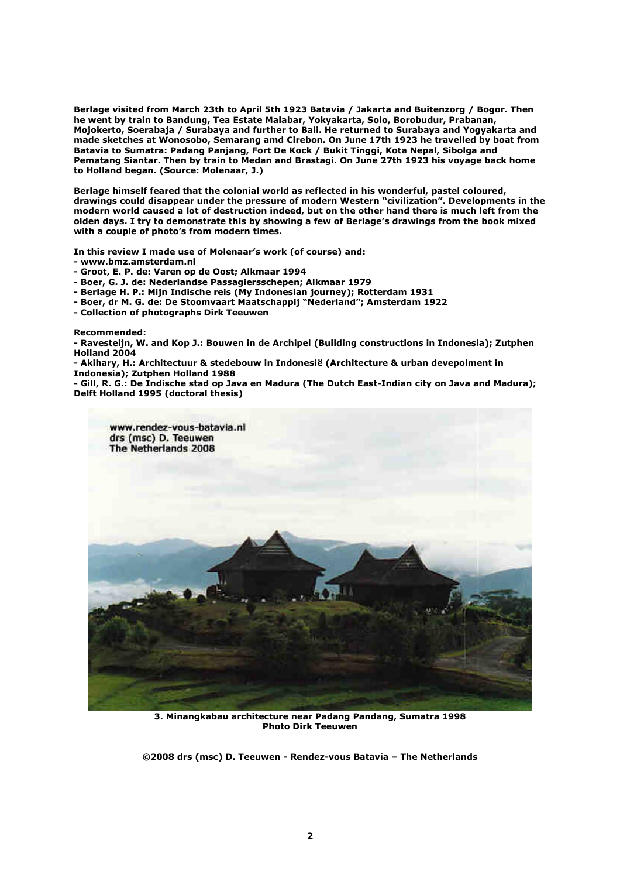**Berlage visited from March 23th to April 5th 1923 Batavia / Jakarta and Buitenzorg / Bogor. Then he went by train to Bandung, Tea Estate Malabar, Yokyakarta, Solo, Borobudur, Prabanan, Mojokerto, Soerabaja / Surabaya and further to Bali. He returned to Surabaya and Yogyakarta and made sketches at Wonosobo, Semarang amd Cirebon. On June 17th 1923 he travelled by boat from Batavia to Sumatra: Padang Panjang, Fort De Kock / Bukit Tinggi, Kota Nepal, Sibolga and Pematang Siantar. Then by train to Medan and Brastagi. On June 27th 1923 his voyage back home to Holland began. (Source: Molenaar, J.)** 

**Berlage himself feared that the colonial world as reflected in his wonderful, pastel coloured, drawings could disappear under the pressure of modern Western "civilization". Developments in the modern world caused a lot of destruction indeed, but on the other hand there is much left from the olden days. I try to demonstrate this by showing a few of Berlage's drawings from the book mixed with a couple of photo's from modern times.** 

**In this review I made use of Molenaar's work (of course) and:** 

**- www.bmz.amsterdam.nl** 

- **Groot, E. P. de: Varen op de Oost; Alkmaar 1994**
- **Boer, G. J. de: Nederlandse Passagiersschepen; Alkmaar 1979**
- **Berlage H. P.: Mijn Indische reis (My Indonesian journey); Rotterdam 1931**
- **Boer, dr M. G. de: De Stoomvaart Maatschappij "Nederland"; Amsterdam 1922**
- **Collection of photographs Dirk Teeuwen**

**Recommended:** 

**- Ravesteijn, W. and Kop J.: Bouwen in de Archipel (Building constructions in Indonesia); Zutphen Holland 2004** 

**- Akihary, H.: Architectuur & stedebouw in Indonesië (Architecture & urban devepolment in Indonesia); Zutphen Holland 1988** 

**- Gill, R. G.: De Indische stad op Java en Madura (The Dutch East-Indian city on Java and Madura); Delft Holland 1995 (doctoral thesis)** 



**3. Minangkabau architecture near Padang Pandang, Sumatra 1998 Photo Dirk Teeuwen**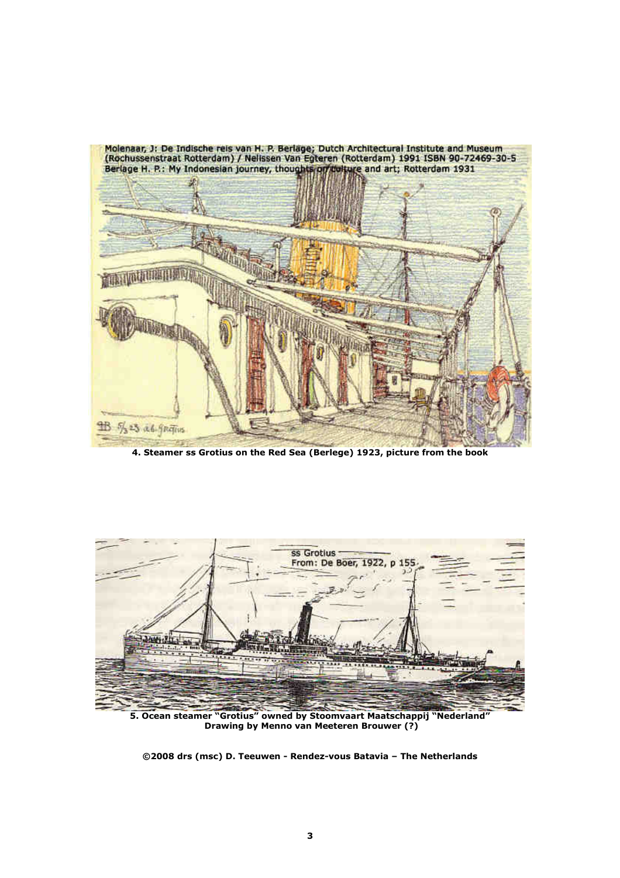

**4. Steamer ss Grotius on the Red Sea (Berlege) 1923, picture from the book** 



**5. Ocean steamer "Grotius" owned by Stoomvaart Maatschappij "Nederland" Drawing by Menno van Meeteren Brouwer (?)**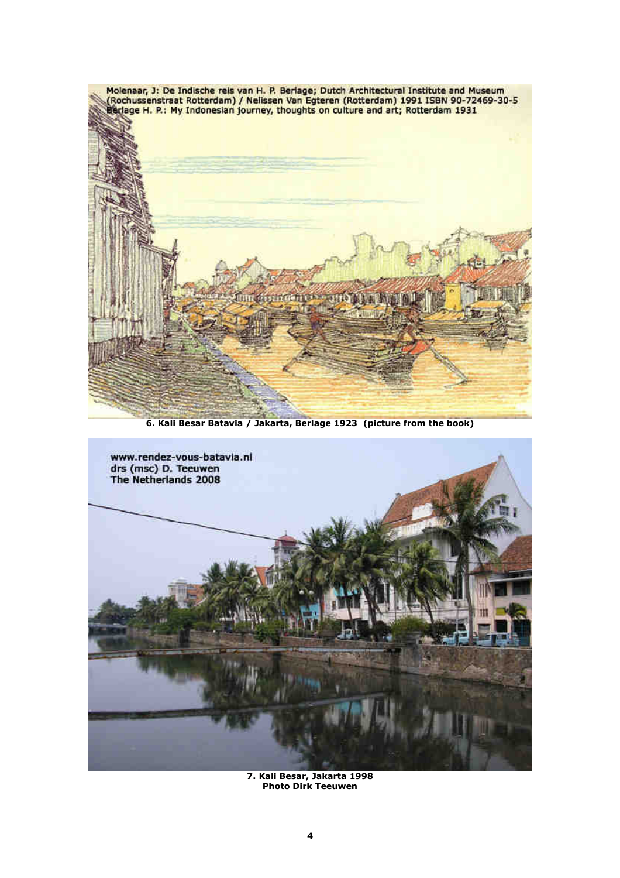

**6. Kali Besar Batavia / Jakarta, Berlage 1923 (picture from the book)** 



**7. Kali Besar, Jakarta 1998 Photo Dirk Teeuwen**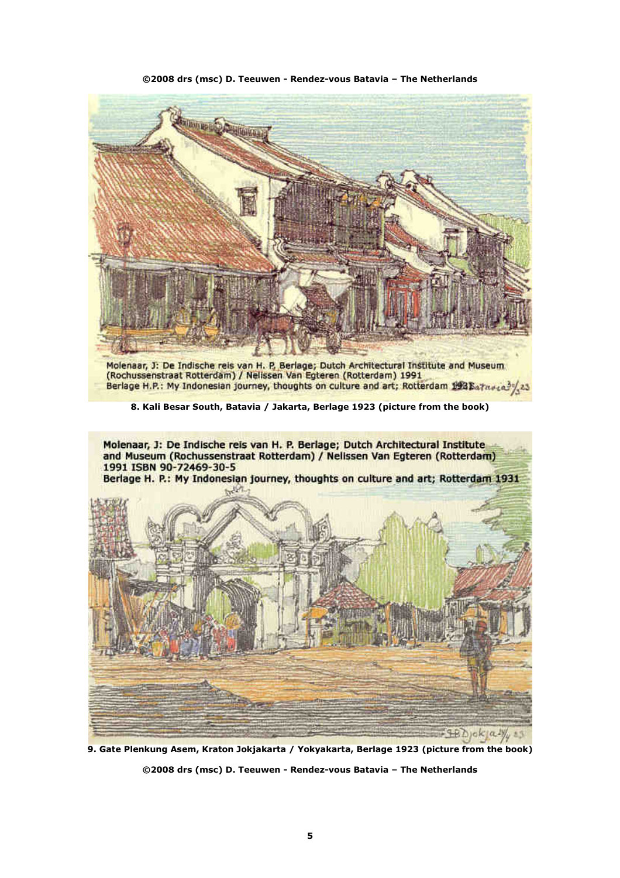

**9. Gate Plenkung Asem, Kraton Jokjakarta / Yokyakarta, Berlage 1923 (picture from the book) ©2008 drs (msc) D. Teeuwen - Rendez-vous Batavia – The Netherlands**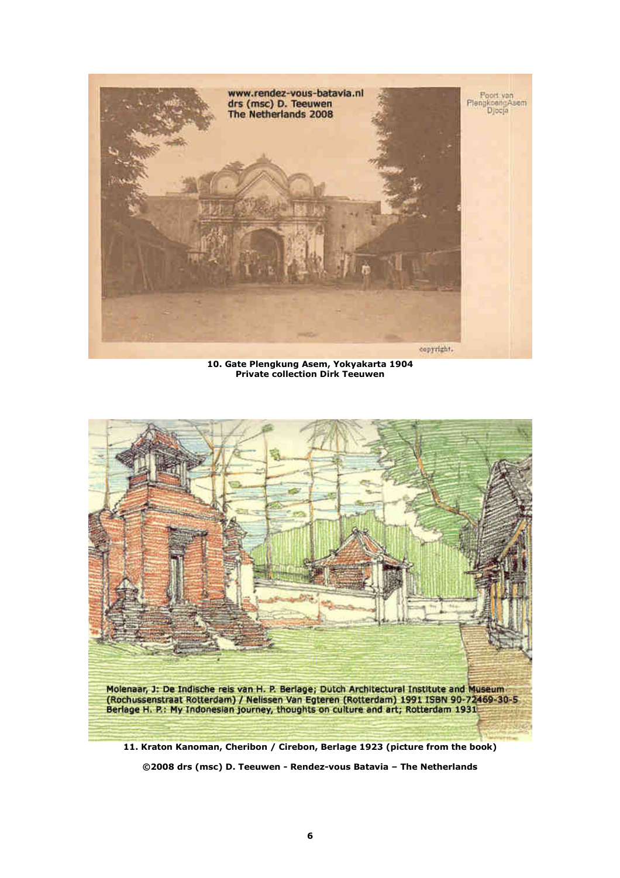

**10. Gate Plengkung Asem, Yokyakarta 1904 Private collection Dirk Teeuwen** 



**11. Kraton Kanoman, Cheribon / Cirebon, Berlage 1923 (picture from the book)**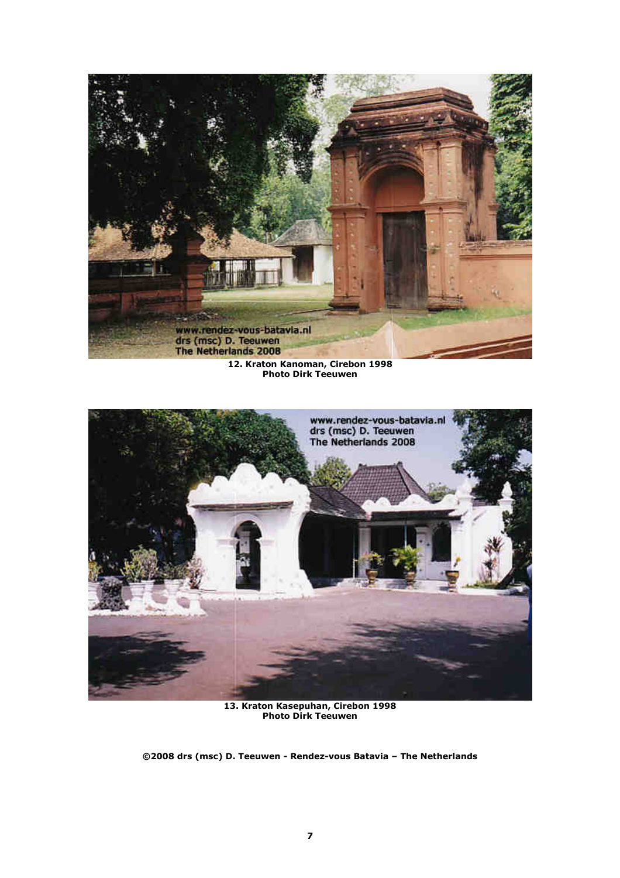

**12. Kraton Kanoman, Cirebon 1998 Photo Dirk Teeuwen** 



**13. Kraton Kasepuhan, Cirebon 1998 Photo Dirk Teeuwen**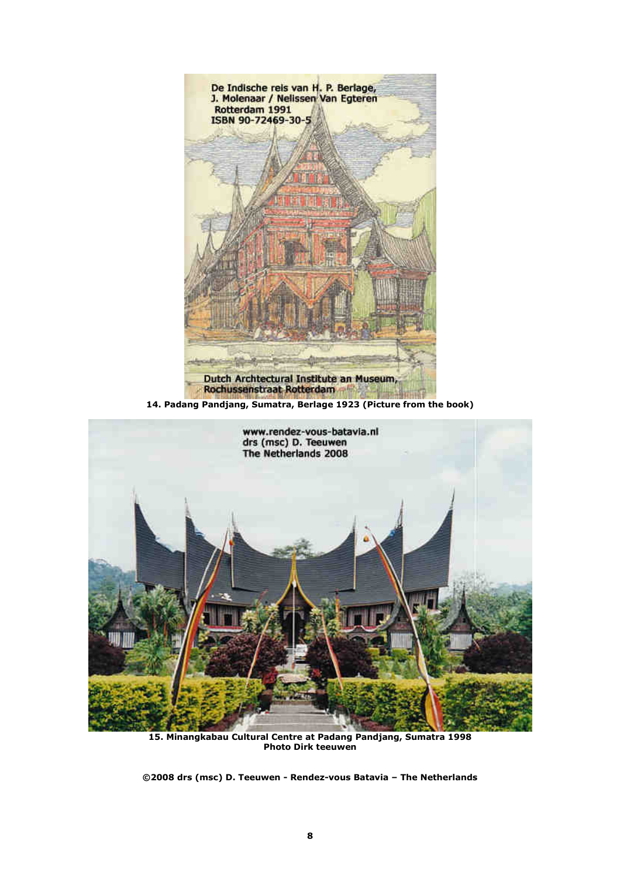

**15. Minangkabau Cultural Centre at Padang Pandjang, Sumatra 1998 Photo Dirk teeuwen**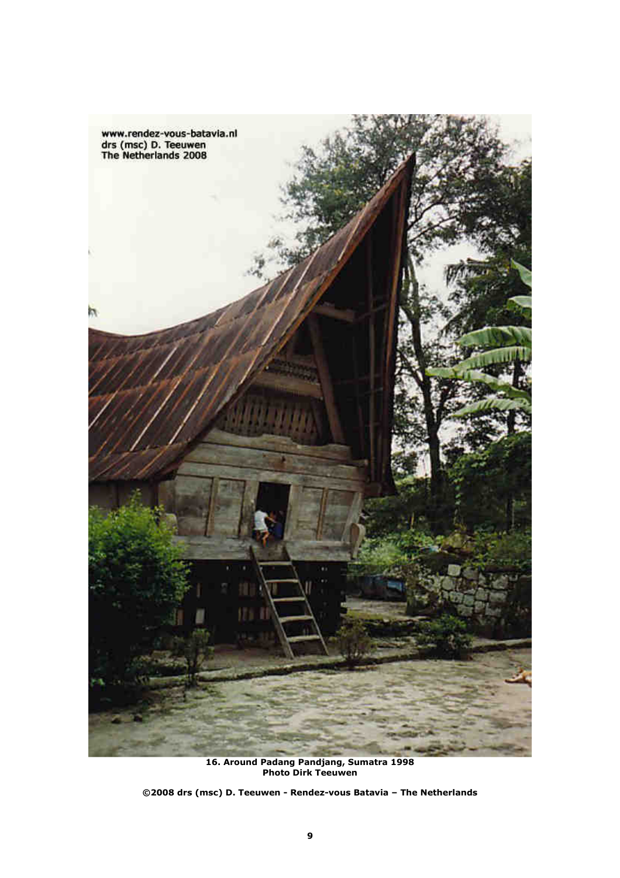

**16. Around Padang Pandjang, Sumatra 1998 Photo Dirk Teeuwen**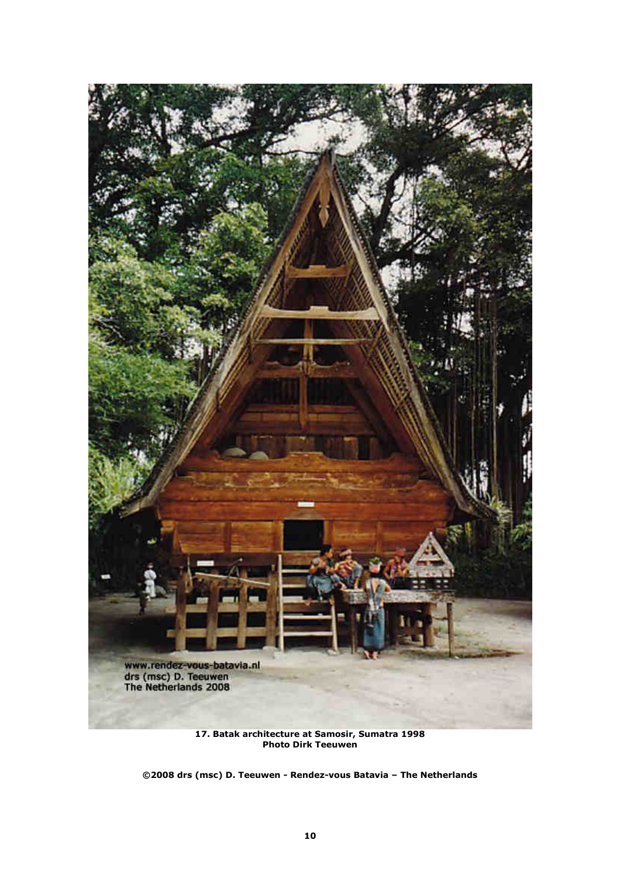

**17. Batak architecture at Samosir, Sumatra 1998 Photo Dirk Teeuwen**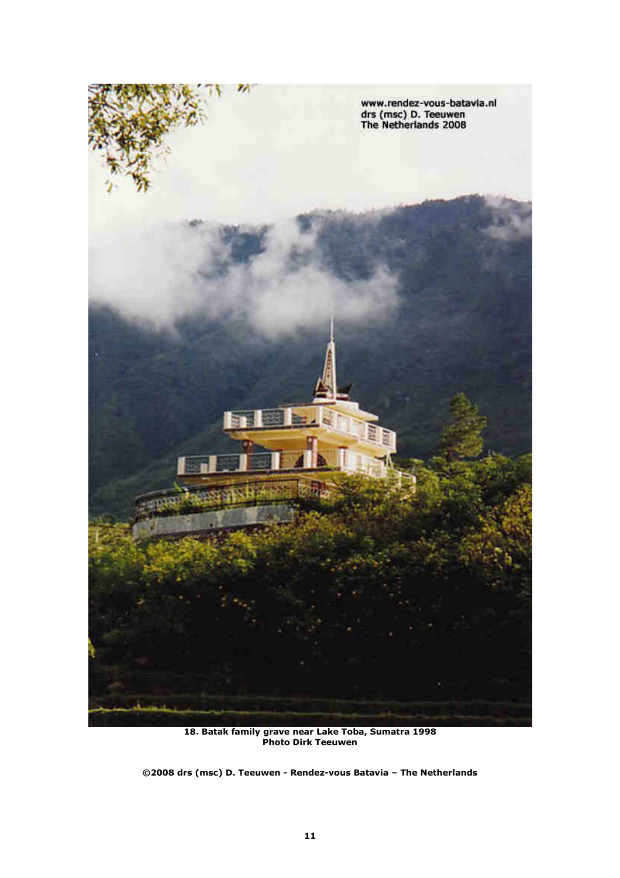

**18. Batak family grave near Lake Toba, Sumatra 1998 Photo Dirk Teeuwen**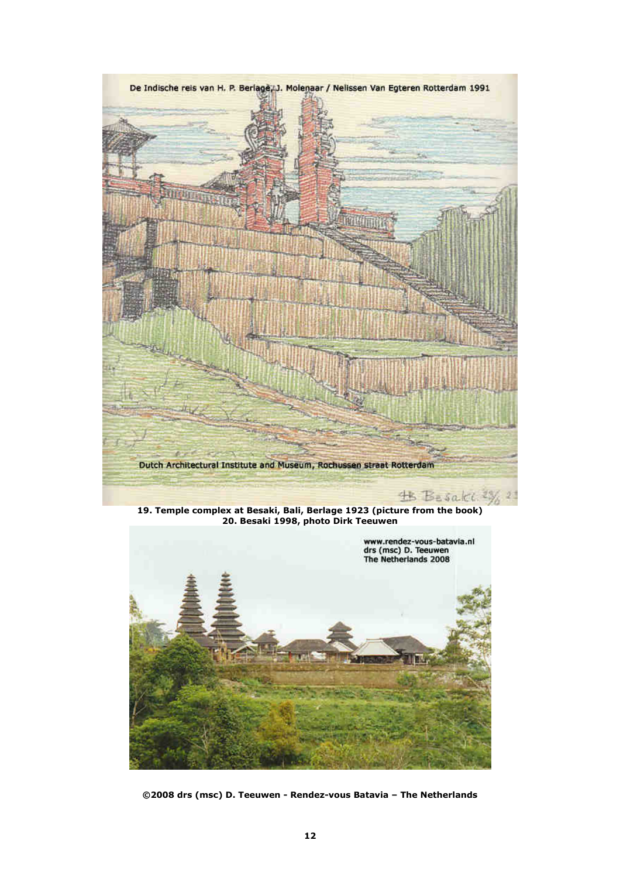



**©2008 drs (msc) D. Teeuwen - Rendez-vous Batavia – The Netherlands**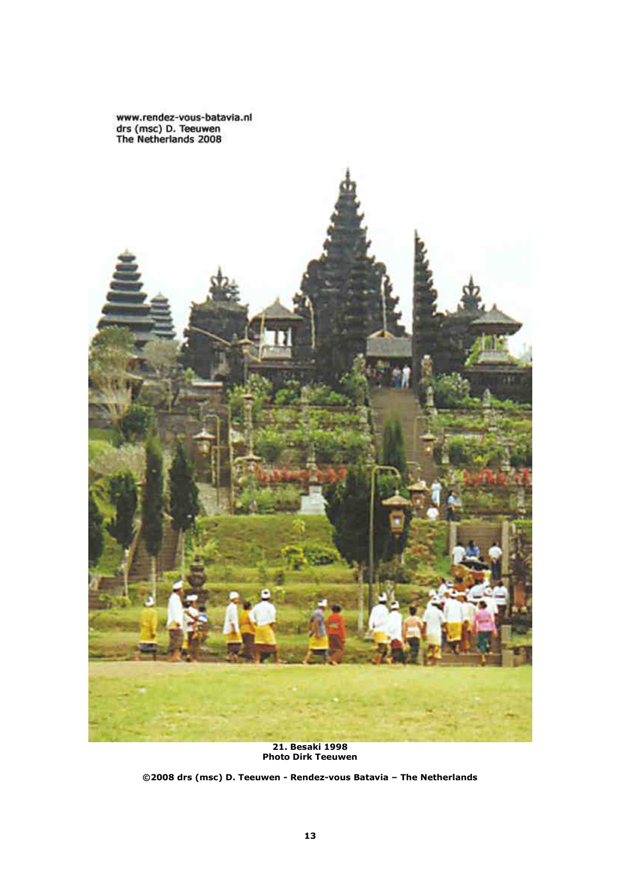www.rendez-vous-batavia.nl<br>drs (msc) D. Teeuwen<br>The Netherlands 2008



**21. Besaki 1998 Photo Dirk Teeuwen**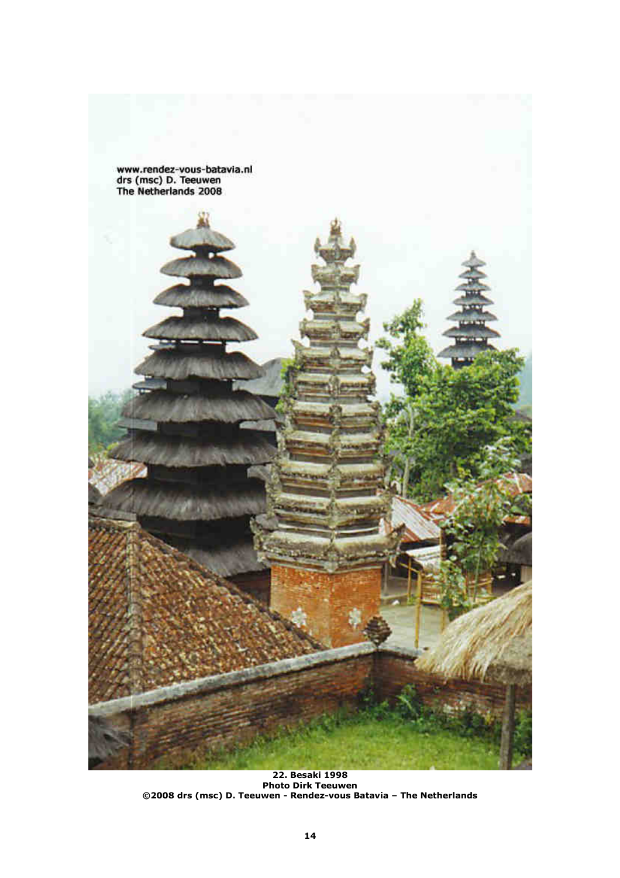

**22. Besaki 1998 Photo Dirk Teeuwen ©2008 drs (msc) D. Teeuwen - Rendez-vous Batavia – The Netherlands**